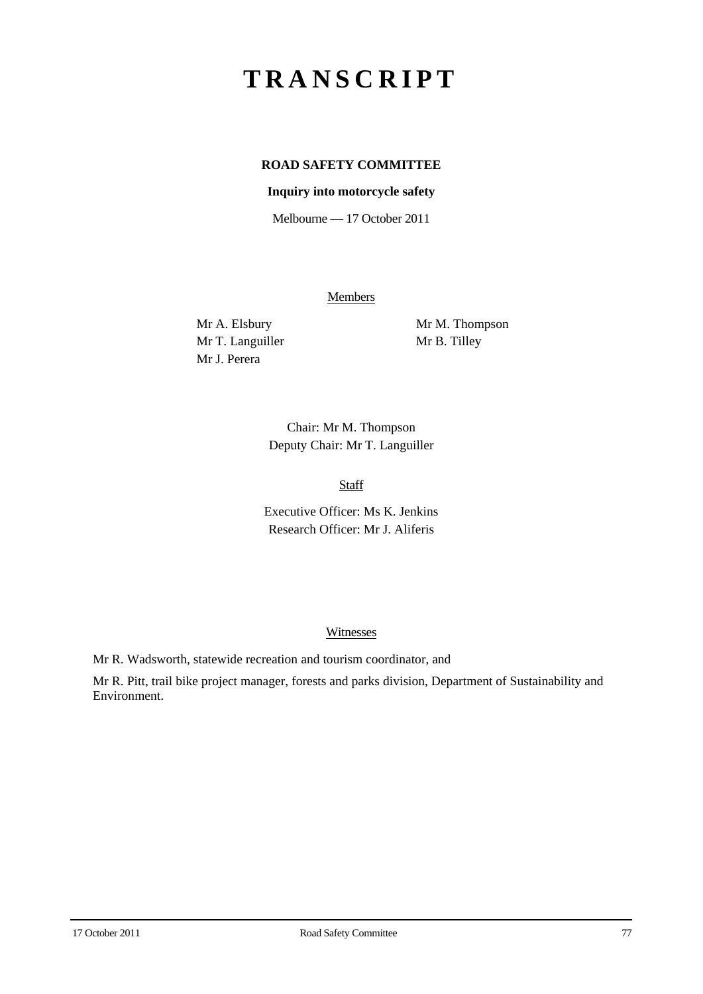# **TRANSCRIPT**

# **ROAD SAFETY COMMITTEE**

## **Inquiry into motorcycle safety**

Melbourne — 17 October 2011

**Members** 

Mr T. Languiller Mr B. Tilley Mr J. Perera

Mr A. Elsbury Mr M. Thompson

Chair: Mr M. Thompson Deputy Chair: Mr T. Languiller

Staff

Executive Officer: Ms K. Jenkins Research Officer: Mr J. Aliferis

#### **Witnesses**

Mr R. Wadsworth, statewide recreation and tourism coordinator, and

Mr R. Pitt, trail bike project manager, forests and parks division, Department of Sustainability and Environment.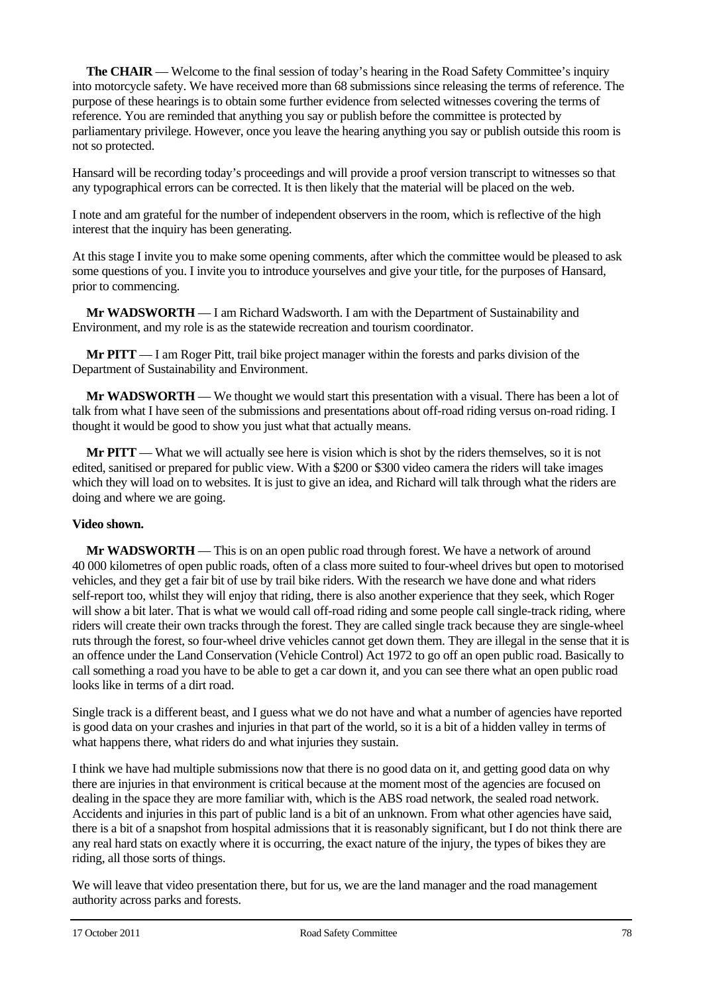**The CHAIR** — Welcome to the final session of today's hearing in the Road Safety Committee's inquiry into motorcycle safety. We have received more than 68 submissions since releasing the terms of reference. The purpose of these hearings is to obtain some further evidence from selected witnesses covering the terms of reference. You are reminded that anything you say or publish before the committee is protected by parliamentary privilege. However, once you leave the hearing anything you say or publish outside this room is not so protected.

Hansard will be recording today's proceedings and will provide a proof version transcript to witnesses so that any typographical errors can be corrected. It is then likely that the material will be placed on the web.

I note and am grateful for the number of independent observers in the room, which is reflective of the high interest that the inquiry has been generating.

At this stage I invite you to make some opening comments, after which the committee would be pleased to ask some questions of you. I invite you to introduce yourselves and give your title, for the purposes of Hansard, prior to commencing.

**Mr WADSWORTH** — I am Richard Wadsworth. I am with the Department of Sustainability and Environment, and my role is as the statewide recreation and tourism coordinator.

**Mr PITT** — I am Roger Pitt, trail bike project manager within the forests and parks division of the Department of Sustainability and Environment.

**Mr WADSWORTH** — We thought we would start this presentation with a visual. There has been a lot of talk from what I have seen of the submissions and presentations about off-road riding versus on-road riding. I thought it would be good to show you just what that actually means.

**Mr PITT** — What we will actually see here is vision which is shot by the riders themselves, so it is not edited, sanitised or prepared for public view. With a \$200 or \$300 video camera the riders will take images which they will load on to websites. It is just to give an idea, and Richard will talk through what the riders are doing and where we are going.

#### **Video shown.**

**Mr WADSWORTH** — This is on an open public road through forest. We have a network of around 40 000 kilometres of open public roads, often of a class more suited to four-wheel drives but open to motorised vehicles, and they get a fair bit of use by trail bike riders. With the research we have done and what riders self-report too, whilst they will enjoy that riding, there is also another experience that they seek, which Roger will show a bit later. That is what we would call off-road riding and some people call single-track riding, where riders will create their own tracks through the forest. They are called single track because they are single-wheel ruts through the forest, so four-wheel drive vehicles cannot get down them. They are illegal in the sense that it is an offence under the Land Conservation (Vehicle Control) Act 1972 to go off an open public road. Basically to call something a road you have to be able to get a car down it, and you can see there what an open public road looks like in terms of a dirt road.

Single track is a different beast, and I guess what we do not have and what a number of agencies have reported is good data on your crashes and injuries in that part of the world, so it is a bit of a hidden valley in terms of what happens there, what riders do and what injuries they sustain.

I think we have had multiple submissions now that there is no good data on it, and getting good data on why there are injuries in that environment is critical because at the moment most of the agencies are focused on dealing in the space they are more familiar with, which is the ABS road network, the sealed road network. Accidents and injuries in this part of public land is a bit of an unknown. From what other agencies have said, there is a bit of a snapshot from hospital admissions that it is reasonably significant, but I do not think there are any real hard stats on exactly where it is occurring, the exact nature of the injury, the types of bikes they are riding, all those sorts of things.

We will leave that video presentation there, but for us, we are the land manager and the road management authority across parks and forests.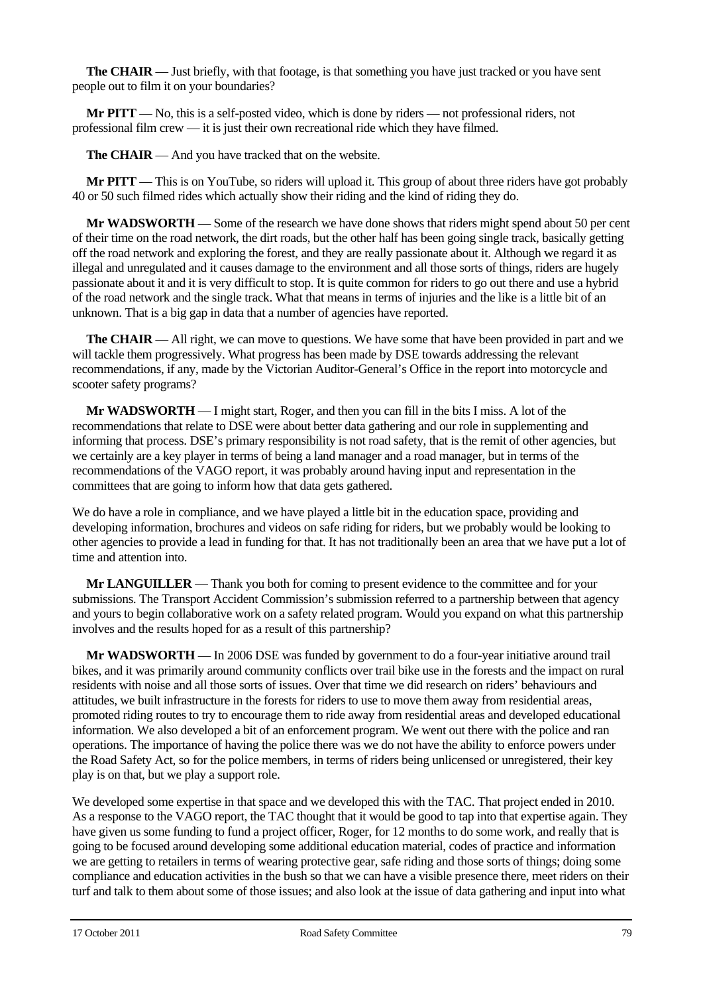**The CHAIR** — Just briefly, with that footage, is that something you have just tracked or you have sent people out to film it on your boundaries?

**Mr PITT** — No, this is a self-posted video, which is done by riders — not professional riders, not professional film crew — it is just their own recreational ride which they have filmed.

**The CHAIR** — And you have tracked that on the website.

**Mr PITT** — This is on YouTube, so riders will upload it. This group of about three riders have got probably 40 or 50 such filmed rides which actually show their riding and the kind of riding they do.

**Mr WADSWORTH** — Some of the research we have done shows that riders might spend about 50 per cent of their time on the road network, the dirt roads, but the other half has been going single track, basically getting off the road network and exploring the forest, and they are really passionate about it. Although we regard it as illegal and unregulated and it causes damage to the environment and all those sorts of things, riders are hugely passionate about it and it is very difficult to stop. It is quite common for riders to go out there and use a hybrid of the road network and the single track. What that means in terms of injuries and the like is a little bit of an unknown. That is a big gap in data that a number of agencies have reported.

**The CHAIR** — All right, we can move to questions. We have some that have been provided in part and we will tackle them progressively. What progress has been made by DSE towards addressing the relevant recommendations, if any, made by the Victorian Auditor-General's Office in the report into motorcycle and scooter safety programs?

**Mr WADSWORTH** — I might start, Roger, and then you can fill in the bits I miss. A lot of the recommendations that relate to DSE were about better data gathering and our role in supplementing and informing that process. DSE's primary responsibility is not road safety, that is the remit of other agencies, but we certainly are a key player in terms of being a land manager and a road manager, but in terms of the recommendations of the VAGO report, it was probably around having input and representation in the committees that are going to inform how that data gets gathered.

We do have a role in compliance, and we have played a little bit in the education space, providing and developing information, brochures and videos on safe riding for riders, but we probably would be looking to other agencies to provide a lead in funding for that. It has not traditionally been an area that we have put a lot of time and attention into.

**Mr LANGUILLER** — Thank you both for coming to present evidence to the committee and for your submissions. The Transport Accident Commission's submission referred to a partnership between that agency and yours to begin collaborative work on a safety related program. Would you expand on what this partnership involves and the results hoped for as a result of this partnership?

**Mr WADSWORTH** — In 2006 DSE was funded by government to do a four-year initiative around trail bikes, and it was primarily around community conflicts over trail bike use in the forests and the impact on rural residents with noise and all those sorts of issues. Over that time we did research on riders' behaviours and attitudes, we built infrastructure in the forests for riders to use to move them away from residential areas, promoted riding routes to try to encourage them to ride away from residential areas and developed educational information. We also developed a bit of an enforcement program. We went out there with the police and ran operations. The importance of having the police there was we do not have the ability to enforce powers under the Road Safety Act, so for the police members, in terms of riders being unlicensed or unregistered, their key play is on that, but we play a support role.

We developed some expertise in that space and we developed this with the TAC. That project ended in 2010. As a response to the VAGO report, the TAC thought that it would be good to tap into that expertise again. They have given us some funding to fund a project officer, Roger, for 12 months to do some work, and really that is going to be focused around developing some additional education material, codes of practice and information we are getting to retailers in terms of wearing protective gear, safe riding and those sorts of things; doing some compliance and education activities in the bush so that we can have a visible presence there, meet riders on their turf and talk to them about some of those issues; and also look at the issue of data gathering and input into what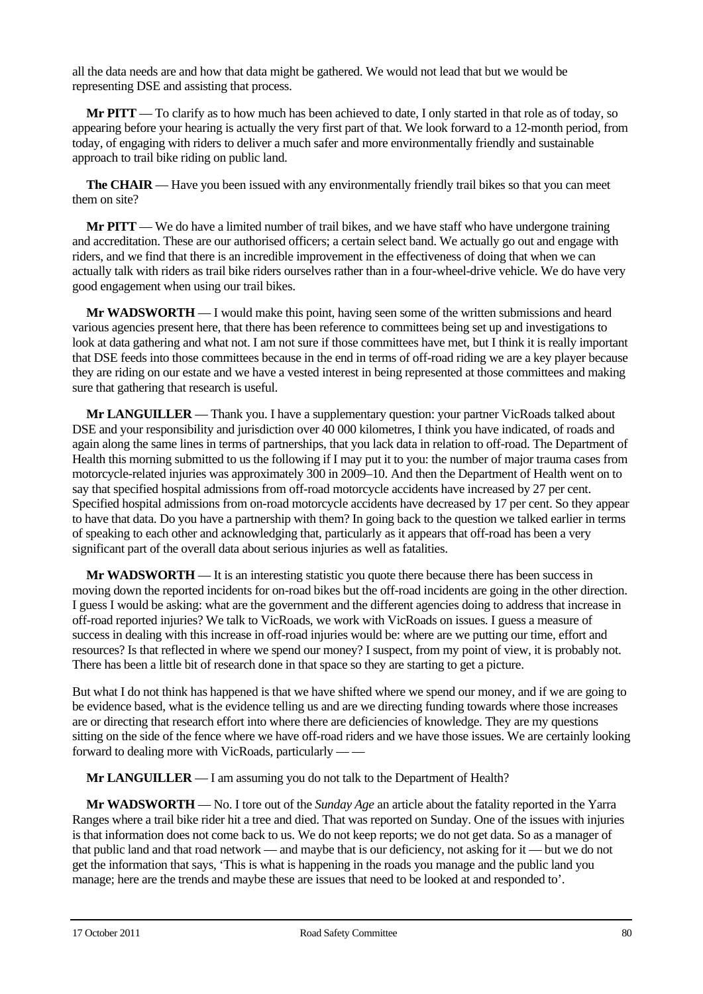all the data needs are and how that data might be gathered. We would not lead that but we would be representing DSE and assisting that process.

**Mr PITT** — To clarify as to how much has been achieved to date, I only started in that role as of today, so appearing before your hearing is actually the very first part of that. We look forward to a 12-month period, from today, of engaging with riders to deliver a much safer and more environmentally friendly and sustainable approach to trail bike riding on public land.

**The CHAIR** — Have you been issued with any environmentally friendly trail bikes so that you can meet them on site?

**Mr PITT** — We do have a limited number of trail bikes, and we have staff who have undergone training and accreditation. These are our authorised officers; a certain select band. We actually go out and engage with riders, and we find that there is an incredible improvement in the effectiveness of doing that when we can actually talk with riders as trail bike riders ourselves rather than in a four-wheel-drive vehicle. We do have very good engagement when using our trail bikes.

**Mr WADSWORTH** — I would make this point, having seen some of the written submissions and heard various agencies present here, that there has been reference to committees being set up and investigations to look at data gathering and what not. I am not sure if those committees have met, but I think it is really important that DSE feeds into those committees because in the end in terms of off-road riding we are a key player because they are riding on our estate and we have a vested interest in being represented at those committees and making sure that gathering that research is useful.

**Mr LANGUILLER** — Thank you. I have a supplementary question: your partner VicRoads talked about DSE and your responsibility and jurisdiction over 40 000 kilometres, I think you have indicated, of roads and again along the same lines in terms of partnerships, that you lack data in relation to off-road. The Department of Health this morning submitted to us the following if I may put it to you: the number of major trauma cases from motorcycle-related injuries was approximately 300 in 2009–10. And then the Department of Health went on to say that specified hospital admissions from off-road motorcycle accidents have increased by 27 per cent. Specified hospital admissions from on-road motorcycle accidents have decreased by 17 per cent. So they appear to have that data. Do you have a partnership with them? In going back to the question we talked earlier in terms of speaking to each other and acknowledging that, particularly as it appears that off-road has been a very significant part of the overall data about serious injuries as well as fatalities.

**Mr WADSWORTH** — It is an interesting statistic you quote there because there has been success in moving down the reported incidents for on-road bikes but the off-road incidents are going in the other direction. I guess I would be asking: what are the government and the different agencies doing to address that increase in off-road reported injuries? We talk to VicRoads, we work with VicRoads on issues. I guess a measure of success in dealing with this increase in off-road injuries would be: where are we putting our time, effort and resources? Is that reflected in where we spend our money? I suspect, from my point of view, it is probably not. There has been a little bit of research done in that space so they are starting to get a picture.

But what I do not think has happened is that we have shifted where we spend our money, and if we are going to be evidence based, what is the evidence telling us and are we directing funding towards where those increases are or directing that research effort into where there are deficiencies of knowledge. They are my questions sitting on the side of the fence where we have off-road riders and we have those issues. We are certainly looking forward to dealing more with VicRoads, particularly — —

**Mr LANGUILLER** — I am assuming you do not talk to the Department of Health?

**Mr WADSWORTH** — No. I tore out of the *Sunday Age* an article about the fatality reported in the Yarra Ranges where a trail bike rider hit a tree and died. That was reported on Sunday. One of the issues with injuries is that information does not come back to us. We do not keep reports; we do not get data. So as a manager of that public land and that road network — and maybe that is our deficiency, not asking for it — but we do not get the information that says, 'This is what is happening in the roads you manage and the public land you manage; here are the trends and maybe these are issues that need to be looked at and responded to'.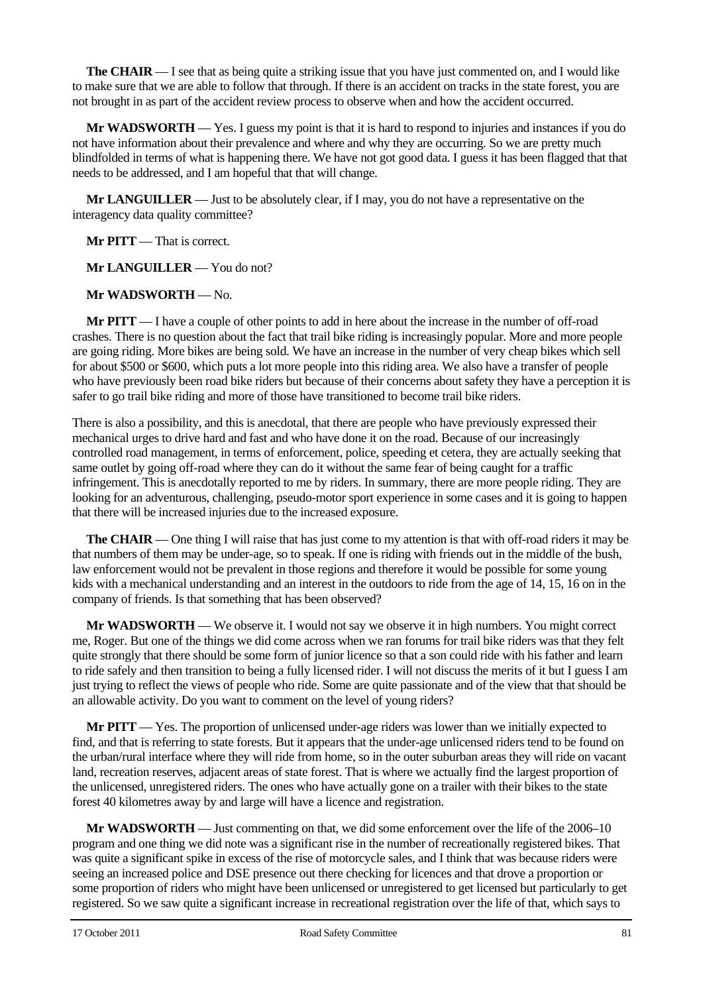**The CHAIR** — I see that as being quite a striking issue that you have just commented on, and I would like to make sure that we are able to follow that through. If there is an accident on tracks in the state forest, you are not brought in as part of the accident review process to observe when and how the accident occurred.

**Mr WADSWORTH** — Yes. I guess my point is that it is hard to respond to injuries and instances if you do not have information about their prevalence and where and why they are occurring. So we are pretty much blindfolded in terms of what is happening there. We have not got good data. I guess it has been flagged that that needs to be addressed, and I am hopeful that that will change.

**Mr LANGUILLER** — Just to be absolutely clear, if I may, you do not have a representative on the interagency data quality committee?

**Mr PITT** — That is correct.

**Mr LANGUILLER** — You do not?

**Mr WADSWORTH** — No.

**Mr PITT** — I have a couple of other points to add in here about the increase in the number of off-road crashes. There is no question about the fact that trail bike riding is increasingly popular. More and more people are going riding. More bikes are being sold. We have an increase in the number of very cheap bikes which sell for about \$500 or \$600, which puts a lot more people into this riding area. We also have a transfer of people who have previously been road bike riders but because of their concerns about safety they have a perception it is safer to go trail bike riding and more of those have transitioned to become trail bike riders.

There is also a possibility, and this is anecdotal, that there are people who have previously expressed their mechanical urges to drive hard and fast and who have done it on the road. Because of our increasingly controlled road management, in terms of enforcement, police, speeding et cetera, they are actually seeking that same outlet by going off-road where they can do it without the same fear of being caught for a traffic infringement. This is anecdotally reported to me by riders. In summary, there are more people riding. They are looking for an adventurous, challenging, pseudo-motor sport experience in some cases and it is going to happen that there will be increased injuries due to the increased exposure.

**The CHAIR** — One thing I will raise that has just come to my attention is that with off-road riders it may be that numbers of them may be under-age, so to speak. If one is riding with friends out in the middle of the bush, law enforcement would not be prevalent in those regions and therefore it would be possible for some young kids with a mechanical understanding and an interest in the outdoors to ride from the age of 14, 15, 16 on in the company of friends. Is that something that has been observed?

**Mr WADSWORTH** — We observe it. I would not say we observe it in high numbers. You might correct me, Roger. But one of the things we did come across when we ran forums for trail bike riders was that they felt quite strongly that there should be some form of junior licence so that a son could ride with his father and learn to ride safely and then transition to being a fully licensed rider. I will not discuss the merits of it but I guess I am just trying to reflect the views of people who ride. Some are quite passionate and of the view that that should be an allowable activity. Do you want to comment on the level of young riders?

**Mr PITT** — Yes. The proportion of unlicensed under-age riders was lower than we initially expected to find, and that is referring to state forests. But it appears that the under-age unlicensed riders tend to be found on the urban/rural interface where they will ride from home, so in the outer suburban areas they will ride on vacant land, recreation reserves, adjacent areas of state forest. That is where we actually find the largest proportion of the unlicensed, unregistered riders. The ones who have actually gone on a trailer with their bikes to the state forest 40 kilometres away by and large will have a licence and registration.

**Mr WADSWORTH** — Just commenting on that, we did some enforcement over the life of the 2006–10 program and one thing we did note was a significant rise in the number of recreationally registered bikes. That was quite a significant spike in excess of the rise of motorcycle sales, and I think that was because riders were seeing an increased police and DSE presence out there checking for licences and that drove a proportion or some proportion of riders who might have been unlicensed or unregistered to get licensed but particularly to get registered. So we saw quite a significant increase in recreational registration over the life of that, which says to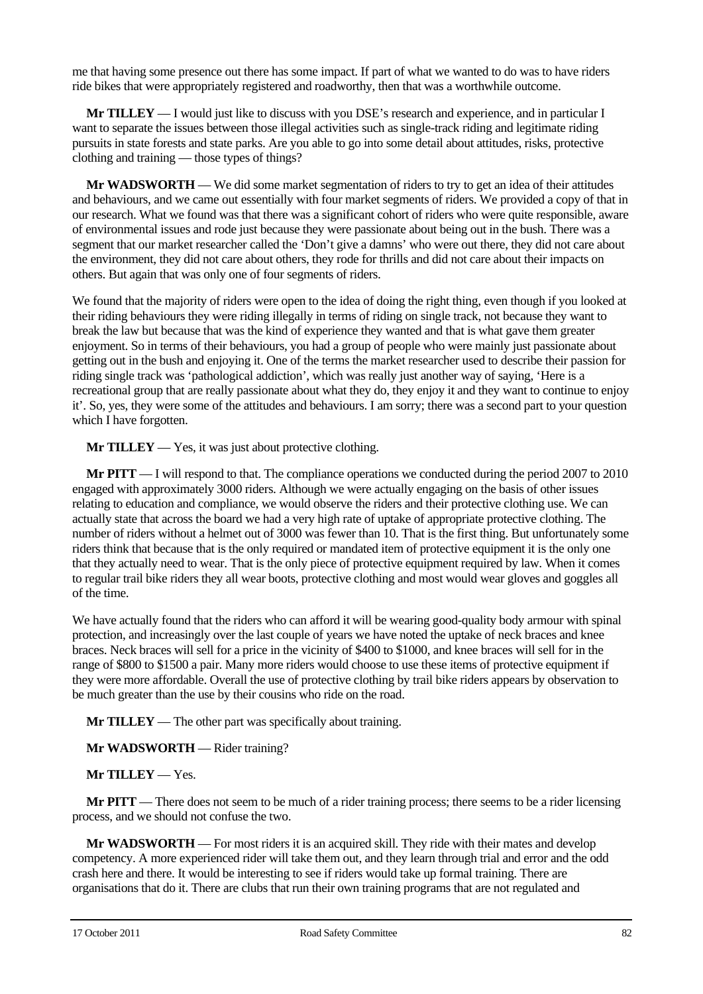me that having some presence out there has some impact. If part of what we wanted to do was to have riders ride bikes that were appropriately registered and roadworthy, then that was a worthwhile outcome.

**Mr TILLEY** — I would just like to discuss with you DSE's research and experience, and in particular I want to separate the issues between those illegal activities such as single-track riding and legitimate riding pursuits in state forests and state parks. Are you able to go into some detail about attitudes, risks, protective clothing and training — those types of things?

**Mr WADSWORTH** — We did some market segmentation of riders to try to get an idea of their attitudes and behaviours, and we came out essentially with four market segments of riders. We provided a copy of that in our research. What we found was that there was a significant cohort of riders who were quite responsible, aware of environmental issues and rode just because they were passionate about being out in the bush. There was a segment that our market researcher called the 'Don't give a damns' who were out there, they did not care about the environment, they did not care about others, they rode for thrills and did not care about their impacts on others. But again that was only one of four segments of riders.

We found that the majority of riders were open to the idea of doing the right thing, even though if you looked at their riding behaviours they were riding illegally in terms of riding on single track, not because they want to break the law but because that was the kind of experience they wanted and that is what gave them greater enjoyment. So in terms of their behaviours, you had a group of people who were mainly just passionate about getting out in the bush and enjoying it. One of the terms the market researcher used to describe their passion for riding single track was 'pathological addiction', which was really just another way of saying, 'Here is a recreational group that are really passionate about what they do, they enjoy it and they want to continue to enjoy it'. So, yes, they were some of the attitudes and behaviours. I am sorry; there was a second part to your question which I have forgotten.

**Mr TILLEY** — Yes, it was just about protective clothing.

**Mr PITT** — I will respond to that. The compliance operations we conducted during the period 2007 to 2010 engaged with approximately 3000 riders. Although we were actually engaging on the basis of other issues relating to education and compliance, we would observe the riders and their protective clothing use. We can actually state that across the board we had a very high rate of uptake of appropriate protective clothing. The number of riders without a helmet out of 3000 was fewer than 10. That is the first thing. But unfortunately some riders think that because that is the only required or mandated item of protective equipment it is the only one that they actually need to wear. That is the only piece of protective equipment required by law. When it comes to regular trail bike riders they all wear boots, protective clothing and most would wear gloves and goggles all of the time.

We have actually found that the riders who can afford it will be wearing good-quality body armour with spinal protection, and increasingly over the last couple of years we have noted the uptake of neck braces and knee braces. Neck braces will sell for a price in the vicinity of \$400 to \$1000, and knee braces will sell for in the range of \$800 to \$1500 a pair. Many more riders would choose to use these items of protective equipment if they were more affordable. Overall the use of protective clothing by trail bike riders appears by observation to be much greater than the use by their cousins who ride on the road.

**Mr TILLEY** — The other part was specifically about training.

**Mr WADSWORTH** — Rider training?

**Mr TILLEY** — Yes.

**Mr PITT** — There does not seem to be much of a rider training process; there seems to be a rider licensing process, and we should not confuse the two.

**Mr WADSWORTH** — For most riders it is an acquired skill. They ride with their mates and develop competency. A more experienced rider will take them out, and they learn through trial and error and the odd crash here and there. It would be interesting to see if riders would take up formal training. There are organisations that do it. There are clubs that run their own training programs that are not regulated and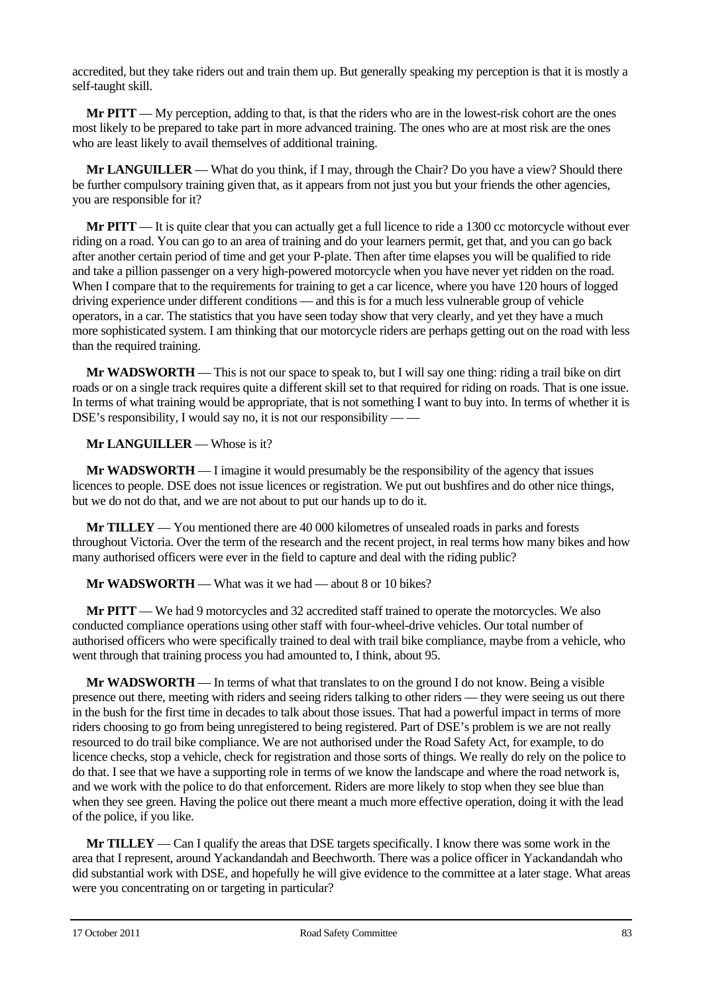accredited, but they take riders out and train them up. But generally speaking my perception is that it is mostly a self-taught skill.

**Mr PITT** — My perception, adding to that, is that the riders who are in the lowest-risk cohort are the ones most likely to be prepared to take part in more advanced training. The ones who are at most risk are the ones who are least likely to avail themselves of additional training.

**Mr LANGUILLER** — What do you think, if I may, through the Chair? Do you have a view? Should there be further compulsory training given that, as it appears from not just you but your friends the other agencies, you are responsible for it?

**Mr PITT** — It is quite clear that you can actually get a full licence to ride a 1300 cc motorcycle without ever riding on a road. You can go to an area of training and do your learners permit, get that, and you can go back after another certain period of time and get your P-plate. Then after time elapses you will be qualified to ride and take a pillion passenger on a very high-powered motorcycle when you have never yet ridden on the road. When I compare that to the requirements for training to get a car licence, where you have 120 hours of logged driving experience under different conditions — and this is for a much less vulnerable group of vehicle operators, in a car. The statistics that you have seen today show that very clearly, and yet they have a much more sophisticated system. I am thinking that our motorcycle riders are perhaps getting out on the road with less than the required training.

**Mr WADSWORTH** — This is not our space to speak to, but I will say one thing: riding a trail bike on dirt roads or on a single track requires quite a different skill set to that required for riding on roads. That is one issue. In terms of what training would be appropriate, that is not something I want to buy into. In terms of whether it is DSE's responsibility, I would say no, it is not our responsibility — —

**Mr LANGUILLER** — Whose is it?

**Mr WADSWORTH** — I imagine it would presumably be the responsibility of the agency that issues licences to people. DSE does not issue licences or registration. We put out bushfires and do other nice things, but we do not do that, and we are not about to put our hands up to do it.

**Mr TILLEY** — You mentioned there are 40 000 kilometres of unsealed roads in parks and forests throughout Victoria. Over the term of the research and the recent project, in real terms how many bikes and how many authorised officers were ever in the field to capture and deal with the riding public?

**Mr WADSWORTH** — What was it we had — about 8 or 10 bikes?

**Mr PITT** — We had 9 motorcycles and 32 accredited staff trained to operate the motorcycles. We also conducted compliance operations using other staff with four-wheel-drive vehicles. Our total number of authorised officers who were specifically trained to deal with trail bike compliance, maybe from a vehicle, who went through that training process you had amounted to, I think, about 95.

**Mr WADSWORTH** — In terms of what that translates to on the ground I do not know. Being a visible presence out there, meeting with riders and seeing riders talking to other riders — they were seeing us out there in the bush for the first time in decades to talk about those issues. That had a powerful impact in terms of more riders choosing to go from being unregistered to being registered. Part of DSE's problem is we are not really resourced to do trail bike compliance. We are not authorised under the Road Safety Act, for example, to do licence checks, stop a vehicle, check for registration and those sorts of things. We really do rely on the police to do that. I see that we have a supporting role in terms of we know the landscape and where the road network is, and we work with the police to do that enforcement. Riders are more likely to stop when they see blue than when they see green. Having the police out there meant a much more effective operation, doing it with the lead of the police, if you like.

**Mr TILLEY** — Can I qualify the areas that DSE targets specifically. I know there was some work in the area that I represent, around Yackandandah and Beechworth. There was a police officer in Yackandandah who did substantial work with DSE, and hopefully he will give evidence to the committee at a later stage. What areas were you concentrating on or targeting in particular?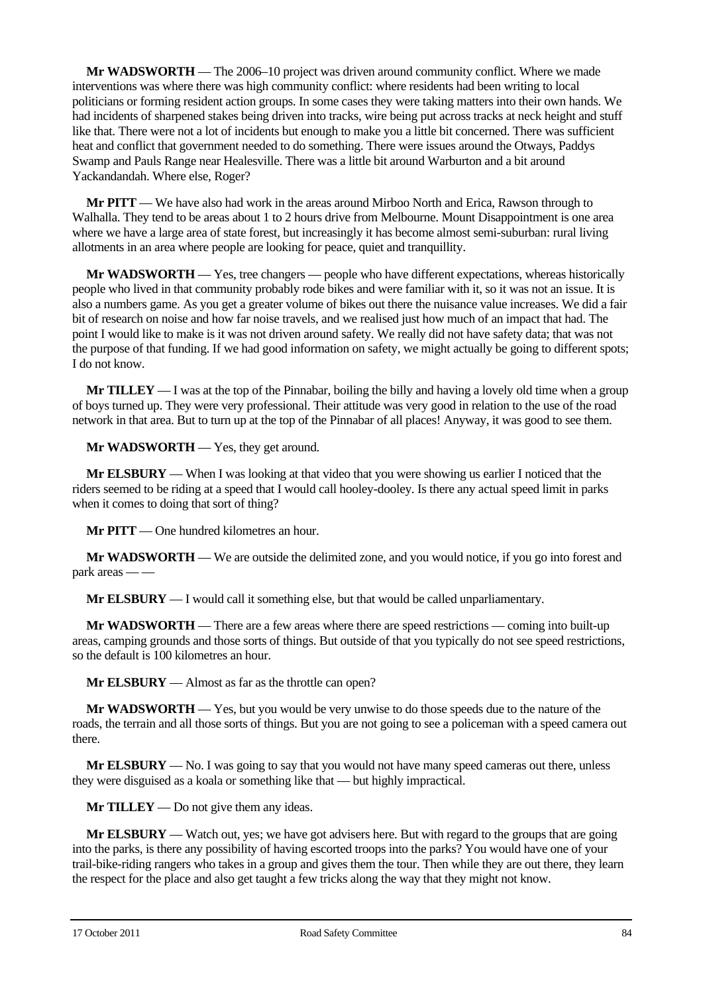**Mr WADSWORTH** — The 2006–10 project was driven around community conflict. Where we made interventions was where there was high community conflict: where residents had been writing to local politicians or forming resident action groups. In some cases they were taking matters into their own hands. We had incidents of sharpened stakes being driven into tracks, wire being put across tracks at neck height and stuff like that. There were not a lot of incidents but enough to make you a little bit concerned. There was sufficient heat and conflict that government needed to do something. There were issues around the Otways, Paddys Swamp and Pauls Range near Healesville. There was a little bit around Warburton and a bit around Yackandandah. Where else, Roger?

**Mr PITT** — We have also had work in the areas around Mirboo North and Erica, Rawson through to Walhalla. They tend to be areas about 1 to 2 hours drive from Melbourne. Mount Disappointment is one area where we have a large area of state forest, but increasingly it has become almost semi-suburban: rural living allotments in an area where people are looking for peace, quiet and tranquillity.

**Mr WADSWORTH** — Yes, tree changers — people who have different expectations, whereas historically people who lived in that community probably rode bikes and were familiar with it, so it was not an issue. It is also a numbers game. As you get a greater volume of bikes out there the nuisance value increases. We did a fair bit of research on noise and how far noise travels, and we realised just how much of an impact that had. The point I would like to make is it was not driven around safety. We really did not have safety data; that was not the purpose of that funding. If we had good information on safety, we might actually be going to different spots; I do not know.

**Mr TILLEY** — I was at the top of the Pinnabar, boiling the billy and having a lovely old time when a group of boys turned up. They were very professional. Their attitude was very good in relation to the use of the road network in that area. But to turn up at the top of the Pinnabar of all places! Anyway, it was good to see them.

**Mr WADSWORTH** — Yes, they get around.

**Mr ELSBURY** — When I was looking at that video that you were showing us earlier I noticed that the riders seemed to be riding at a speed that I would call hooley-dooley. Is there any actual speed limit in parks when it comes to doing that sort of thing?

**Mr PITT** — One hundred kilometres an hour.

**Mr WADSWORTH** — We are outside the delimited zone, and you would notice, if you go into forest and park areas — —

**Mr ELSBURY** — I would call it something else, but that would be called unparliamentary.

**Mr WADSWORTH** — There are a few areas where there are speed restrictions — coming into built-up areas, camping grounds and those sorts of things. But outside of that you typically do not see speed restrictions, so the default is 100 kilometres an hour.

**Mr ELSBURY** — Almost as far as the throttle can open?

**Mr WADSWORTH** — Yes, but you would be very unwise to do those speeds due to the nature of the roads, the terrain and all those sorts of things. But you are not going to see a policeman with a speed camera out there.

**Mr ELSBURY** — No. I was going to say that you would not have many speed cameras out there, unless they were disguised as a koala or something like that — but highly impractical.

**Mr TILLEY** — Do not give them any ideas.

**Mr ELSBURY** — Watch out, yes; we have got advisers here. But with regard to the groups that are going into the parks, is there any possibility of having escorted troops into the parks? You would have one of your trail-bike-riding rangers who takes in a group and gives them the tour. Then while they are out there, they learn the respect for the place and also get taught a few tricks along the way that they might not know.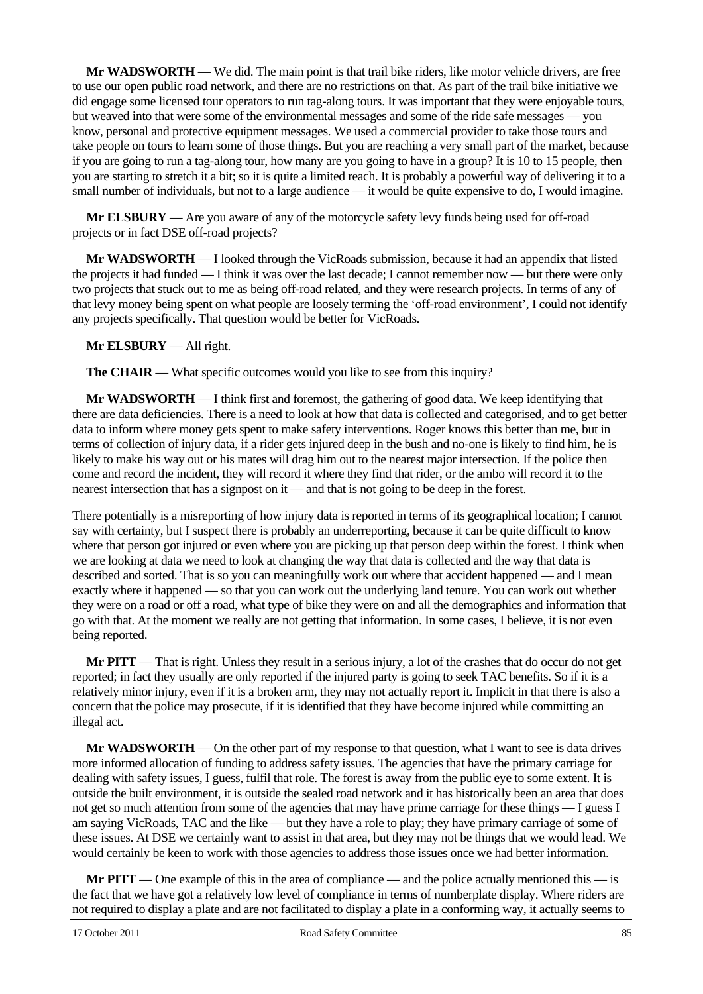**Mr WADSWORTH** — We did. The main point is that trail bike riders, like motor vehicle drivers, are free to use our open public road network, and there are no restrictions on that. As part of the trail bike initiative we did engage some licensed tour operators to run tag-along tours. It was important that they were enjoyable tours, but weaved into that were some of the environmental messages and some of the ride safe messages — you know, personal and protective equipment messages. We used a commercial provider to take those tours and take people on tours to learn some of those things. But you are reaching a very small part of the market, because if you are going to run a tag-along tour, how many are you going to have in a group? It is 10 to 15 people, then you are starting to stretch it a bit; so it is quite a limited reach. It is probably a powerful way of delivering it to a small number of individuals, but not to a large audience — it would be quite expensive to do, I would imagine.

**Mr ELSBURY** — Are you aware of any of the motorcycle safety levy funds being used for off-road projects or in fact DSE off-road projects?

**Mr WADSWORTH** — I looked through the VicRoads submission, because it had an appendix that listed the projects it had funded — I think it was over the last decade; I cannot remember now — but there were only two projects that stuck out to me as being off-road related, and they were research projects. In terms of any of that levy money being spent on what people are loosely terming the 'off-road environment', I could not identify any projects specifically. That question would be better for VicRoads.

## **Mr ELSBURY** — All right.

**The CHAIR** — What specific outcomes would you like to see from this inquiry?

**Mr WADSWORTH** — I think first and foremost, the gathering of good data. We keep identifying that there are data deficiencies. There is a need to look at how that data is collected and categorised, and to get better data to inform where money gets spent to make safety interventions. Roger knows this better than me, but in terms of collection of injury data, if a rider gets injured deep in the bush and no-one is likely to find him, he is likely to make his way out or his mates will drag him out to the nearest major intersection. If the police then come and record the incident, they will record it where they find that rider, or the ambo will record it to the nearest intersection that has a signpost on it — and that is not going to be deep in the forest.

There potentially is a misreporting of how injury data is reported in terms of its geographical location; I cannot say with certainty, but I suspect there is probably an underreporting, because it can be quite difficult to know where that person got injured or even where you are picking up that person deep within the forest. I think when we are looking at data we need to look at changing the way that data is collected and the way that data is described and sorted. That is so you can meaningfully work out where that accident happened — and I mean exactly where it happened — so that you can work out the underlying land tenure. You can work out whether they were on a road or off a road, what type of bike they were on and all the demographics and information that go with that. At the moment we really are not getting that information. In some cases, I believe, it is not even being reported.

**Mr PITT** — That is right. Unless they result in a serious injury, a lot of the crashes that do occur do not get reported; in fact they usually are only reported if the injured party is going to seek TAC benefits. So if it is a relatively minor injury, even if it is a broken arm, they may not actually report it. Implicit in that there is also a concern that the police may prosecute, if it is identified that they have become injured while committing an illegal act.

**Mr WADSWORTH** — On the other part of my response to that question, what I want to see is data drives more informed allocation of funding to address safety issues. The agencies that have the primary carriage for dealing with safety issues, I guess, fulfil that role. The forest is away from the public eye to some extent. It is outside the built environment, it is outside the sealed road network and it has historically been an area that does not get so much attention from some of the agencies that may have prime carriage for these things — I guess I am saying VicRoads, TAC and the like — but they have a role to play; they have primary carriage of some of these issues. At DSE we certainly want to assist in that area, but they may not be things that we would lead. We would certainly be keen to work with those agencies to address those issues once we had better information.

**Mr PITT** — One example of this in the area of compliance — and the police actually mentioned this — is the fact that we have got a relatively low level of compliance in terms of numberplate display. Where riders are not required to display a plate and are not facilitated to display a plate in a conforming way, it actually seems to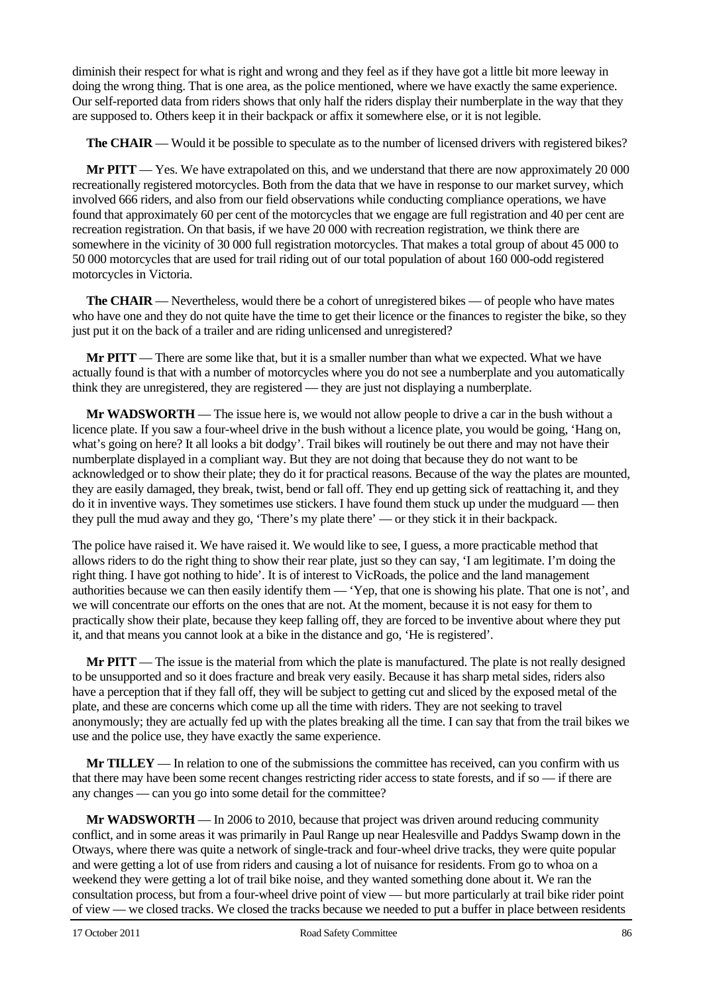diminish their respect for what is right and wrong and they feel as if they have got a little bit more leeway in doing the wrong thing. That is one area, as the police mentioned, where we have exactly the same experience. Our self-reported data from riders shows that only half the riders display their numberplate in the way that they are supposed to. Others keep it in their backpack or affix it somewhere else, or it is not legible.

**The CHAIR** — Would it be possible to speculate as to the number of licensed drivers with registered bikes?

**Mr PITT** — Yes. We have extrapolated on this, and we understand that there are now approximately 20 000 recreationally registered motorcycles. Both from the data that we have in response to our market survey, which involved 666 riders, and also from our field observations while conducting compliance operations, we have found that approximately 60 per cent of the motorcycles that we engage are full registration and 40 per cent are recreation registration. On that basis, if we have 20 000 with recreation registration, we think there are somewhere in the vicinity of 30 000 full registration motorcycles. That makes a total group of about 45 000 to 50 000 motorcycles that are used for trail riding out of our total population of about 160 000-odd registered motorcycles in Victoria.

**The CHAIR** — Nevertheless, would there be a cohort of unregistered bikes — of people who have mates who have one and they do not quite have the time to get their licence or the finances to register the bike, so they just put it on the back of a trailer and are riding unlicensed and unregistered?

**Mr PITT** — There are some like that, but it is a smaller number than what we expected. What we have actually found is that with a number of motorcycles where you do not see a numberplate and you automatically think they are unregistered, they are registered — they are just not displaying a numberplate.

**Mr WADSWORTH** — The issue here is, we would not allow people to drive a car in the bush without a licence plate. If you saw a four-wheel drive in the bush without a licence plate, you would be going, 'Hang on, what's going on here? It all looks a bit dodgy'. Trail bikes will routinely be out there and may not have their numberplate displayed in a compliant way. But they are not doing that because they do not want to be acknowledged or to show their plate; they do it for practical reasons. Because of the way the plates are mounted, they are easily damaged, they break, twist, bend or fall off. They end up getting sick of reattaching it, and they do it in inventive ways. They sometimes use stickers. I have found them stuck up under the mudguard — then they pull the mud away and they go, 'There's my plate there' — or they stick it in their backpack.

The police have raised it. We have raised it. We would like to see, I guess, a more practicable method that allows riders to do the right thing to show their rear plate, just so they can say, 'I am legitimate. I'm doing the right thing. I have got nothing to hide'. It is of interest to VicRoads, the police and the land management authorities because we can then easily identify them — 'Yep, that one is showing his plate. That one is not', and we will concentrate our efforts on the ones that are not. At the moment, because it is not easy for them to practically show their plate, because they keep falling off, they are forced to be inventive about where they put it, and that means you cannot look at a bike in the distance and go, 'He is registered'.

**Mr PITT** — The issue is the material from which the plate is manufactured. The plate is not really designed to be unsupported and so it does fracture and break very easily. Because it has sharp metal sides, riders also have a perception that if they fall off, they will be subject to getting cut and sliced by the exposed metal of the plate, and these are concerns which come up all the time with riders. They are not seeking to travel anonymously; they are actually fed up with the plates breaking all the time. I can say that from the trail bikes we use and the police use, they have exactly the same experience.

**Mr TILLEY** — In relation to one of the submissions the committee has received, can you confirm with us that there may have been some recent changes restricting rider access to state forests, and if so — if there are any changes — can you go into some detail for the committee?

**Mr WADSWORTH** — In 2006 to 2010, because that project was driven around reducing community conflict, and in some areas it was primarily in Paul Range up near Healesville and Paddys Swamp down in the Otways, where there was quite a network of single-track and four-wheel drive tracks, they were quite popular and were getting a lot of use from riders and causing a lot of nuisance for residents. From go to whoa on a weekend they were getting a lot of trail bike noise, and they wanted something done about it. We ran the consultation process, but from a four-wheel drive point of view — but more particularly at trail bike rider point of view — we closed tracks. We closed the tracks because we needed to put a buffer in place between residents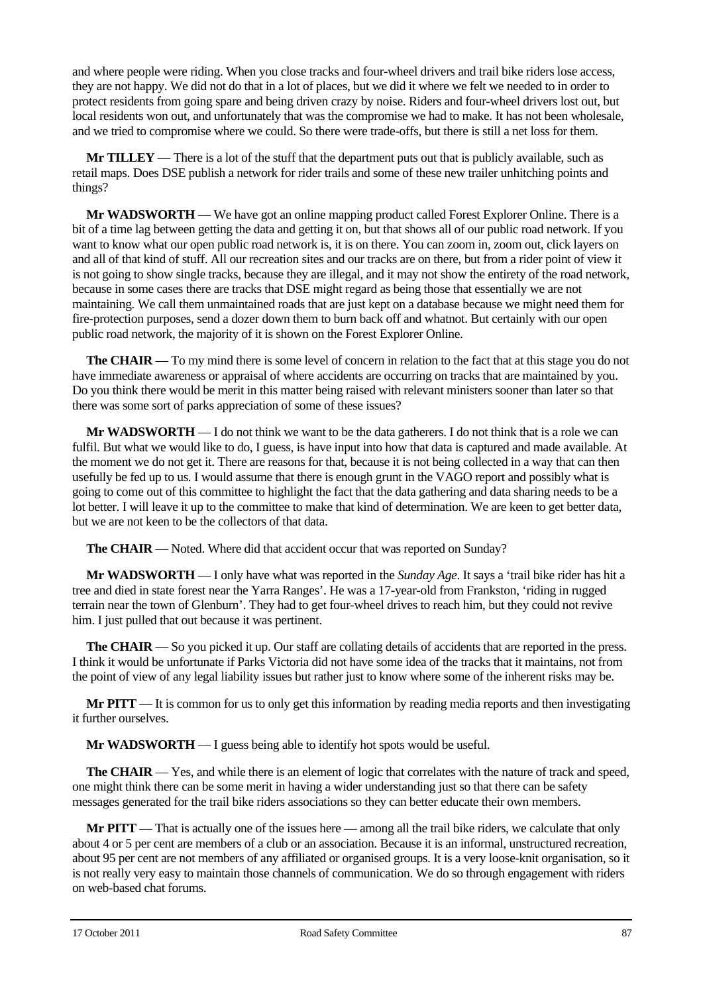and where people were riding. When you close tracks and four-wheel drivers and trail bike riders lose access, they are not happy. We did not do that in a lot of places, but we did it where we felt we needed to in order to protect residents from going spare and being driven crazy by noise. Riders and four-wheel drivers lost out, but local residents won out, and unfortunately that was the compromise we had to make. It has not been wholesale, and we tried to compromise where we could. So there were trade-offs, but there is still a net loss for them.

**Mr TILLEY** — There is a lot of the stuff that the department puts out that is publicly available, such as retail maps. Does DSE publish a network for rider trails and some of these new trailer unhitching points and things?

**Mr WADSWORTH** — We have got an online mapping product called Forest Explorer Online. There is a bit of a time lag between getting the data and getting it on, but that shows all of our public road network. If you want to know what our open public road network is, it is on there. You can zoom in, zoom out, click layers on and all of that kind of stuff. All our recreation sites and our tracks are on there, but from a rider point of view it is not going to show single tracks, because they are illegal, and it may not show the entirety of the road network, because in some cases there are tracks that DSE might regard as being those that essentially we are not maintaining. We call them unmaintained roads that are just kept on a database because we might need them for fire-protection purposes, send a dozer down them to burn back off and whatnot. But certainly with our open public road network, the majority of it is shown on the Forest Explorer Online.

**The CHAIR** — To my mind there is some level of concern in relation to the fact that at this stage you do not have immediate awareness or appraisal of where accidents are occurring on tracks that are maintained by you. Do you think there would be merit in this matter being raised with relevant ministers sooner than later so that there was some sort of parks appreciation of some of these issues?

**Mr WADSWORTH** — I do not think we want to be the data gatherers. I do not think that is a role we can fulfil. But what we would like to do, I guess, is have input into how that data is captured and made available. At the moment we do not get it. There are reasons for that, because it is not being collected in a way that can then usefully be fed up to us. I would assume that there is enough grunt in the VAGO report and possibly what is going to come out of this committee to highlight the fact that the data gathering and data sharing needs to be a lot better. I will leave it up to the committee to make that kind of determination. We are keen to get better data, but we are not keen to be the collectors of that data.

**The CHAIR** — Noted. Where did that accident occur that was reported on Sunday?

**Mr WADSWORTH** — I only have what was reported in the *Sunday Age*. It says a 'trail bike rider has hit a tree and died in state forest near the Yarra Ranges'. He was a 17-year-old from Frankston, 'riding in rugged terrain near the town of Glenburn'. They had to get four-wheel drives to reach him, but they could not revive him. I just pulled that out because it was pertinent.

**The CHAIR** — So you picked it up. Our staff are collating details of accidents that are reported in the press. I think it would be unfortunate if Parks Victoria did not have some idea of the tracks that it maintains, not from the point of view of any legal liability issues but rather just to know where some of the inherent risks may be.

**Mr PITT** — It is common for us to only get this information by reading media reports and then investigating it further ourselves.

**Mr WADSWORTH** — I guess being able to identify hot spots would be useful.

**The CHAIR** — Yes, and while there is an element of logic that correlates with the nature of track and speed, one might think there can be some merit in having a wider understanding just so that there can be safety messages generated for the trail bike riders associations so they can better educate their own members.

**Mr PITT** — That is actually one of the issues here — among all the trail bike riders, we calculate that only about 4 or 5 per cent are members of a club or an association. Because it is an informal, unstructured recreation, about 95 per cent are not members of any affiliated or organised groups. It is a very loose-knit organisation, so it is not really very easy to maintain those channels of communication. We do so through engagement with riders on web-based chat forums.